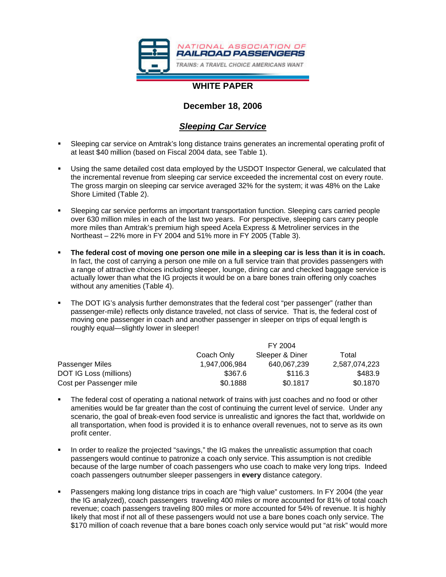

# **WHITE PAPER**

## **December 18, 2006**

# *Sleeping Car Service*

- Sleeping car service on Amtrak's long distance trains generates an incremental operating profit of at least \$40 million (based on Fiscal 2004 data, see Table 1).
- Using the same detailed cost data employed by the USDOT Inspector General, we calculated that the incremental revenue from sleeping car service exceeded the incremental cost on every route. The gross margin on sleeping car service averaged 32% for the system; it was 48% on the Lake Shore Limited (Table 2).
- Sleeping car service performs an important transportation function. Sleeping cars carried people over 630 million miles in each of the last two years. For perspective, sleeping cars carry people more miles than Amtrak's premium high speed Acela Express & Metroliner services in the Northeast – 22% more in FY 2004 and 51% more in FY 2005 (Table 3).
- **The federal cost of moving one person one mile in a sleeping car is less than it is in coach.** In fact, the cost of carrying a person one mile on a full service train that provides passengers with a range of attractive choices including sleeper, lounge, dining car and checked baggage service is actually lower than what the IG projects it would be on a bare bones train offering only coaches without any amenities (Table 4).
- The DOT IG's analysis further demonstrates that the federal cost "per passenger" (rather than passenger-mile) reflects only distance traveled, not class of service. That is, the federal cost of moving one passenger in coach and another passenger in sleeper on trips of equal length is roughly equal—slightly lower in sleeper!

|                         | FY 2004       |                 |               |
|-------------------------|---------------|-----------------|---------------|
|                         | Coach Only    | Sleeper & Diner | Total         |
| Passenger Miles         | 1,947,006,984 | 640.067.239     | 2,587,074,223 |
| DOT IG Loss (millions)  | \$367.6       | \$116.3         | \$483.9       |
| Cost per Passenger mile | \$0.1888      | \$0.1817        | \$0.1870      |

- The federal cost of operating a national network of trains with just coaches and no food or other amenities would be far greater than the cost of continuing the current level of service. Under any scenario, the goal of break-even food service is unrealistic and ignores the fact that, worldwide on all transportation, when food is provided it is to enhance overall revenues, not to serve as its own profit center.
- In order to realize the projected "savings," the IG makes the unrealistic assumption that coach passengers would continue to patronize a coach only service. This assumption is not credible because of the large number of coach passengers who use coach to make very long trips. Indeed coach passengers outnumber sleeper passengers in **every** distance category.
- Passengers making long distance trips in coach are "high value" customers. In FY 2004 (the year the IG analyzed), coach passengers traveling 400 miles or more accounted for 81% of total coach revenue; coach passengers traveling 800 miles or more accounted for 54% of revenue. It is highly likely that most if not all of these passengers would not use a bare bones coach only service. The \$170 million of coach revenue that a bare bones coach only service would put "at risk" would more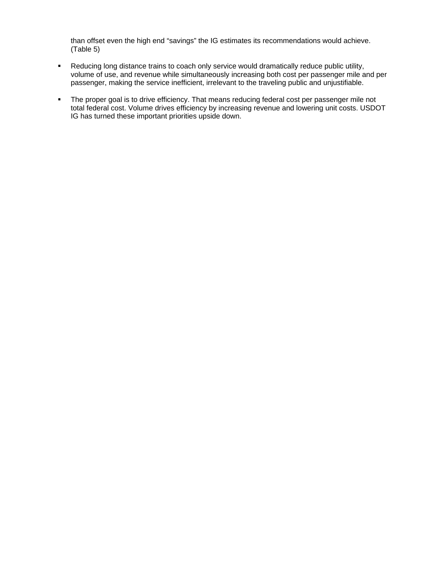than offset even the high end "savings" the IG estimates its recommendations would achieve. (Table 5)

- **Reducing long distance trains to coach only service would dramatically reduce public utility,** volume of use, and revenue while simultaneously increasing both cost per passenger mile and per passenger, making the service inefficient, irrelevant to the traveling public and unjustifiable.
- The proper goal is to drive efficiency. That means reducing federal cost per passenger mile not total federal cost. Volume drives efficiency by increasing revenue and lowering unit costs. USDOT IG has turned these important priorities upside down.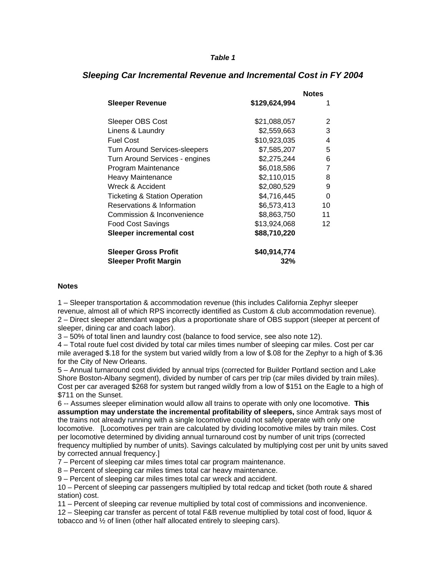### *Table 1*

|                                          |               | <b>Notes</b> |
|------------------------------------------|---------------|--------------|
| <b>Sleeper Revenue</b>                   | \$129,624,994 |              |
| Sleeper OBS Cost                         | \$21,088,057  | 2            |
| Linens & Laundry                         | \$2,559,663   | 3            |
| <b>Fuel Cost</b>                         | \$10,923,035  | 4            |
| Turn Around Services-sleepers            | \$7,585,207   | 5            |
| Turn Around Services - engines           | \$2,275,244   | 6            |
| Program Maintenance                      | \$6,018,586   | 7            |
| <b>Heavy Maintenance</b>                 | \$2,110,015   | 8            |
| Wreck & Accident                         | \$2,080,529   | 9            |
| <b>Ticketing &amp; Station Operation</b> | \$4,716,445   | 0            |
| Reservations & Information               | \$6,573,413   | 10           |
| Commission & Inconvenience               | \$8,863,750   | 11           |
| Food Cost Savings                        | \$13,924,068  | 12           |
| Sleeper incremental cost                 | \$88,710,220  |              |
| <b>Sleeper Gross Profit</b>              | \$40,914,774  |              |
| <b>Sleeper Profit Margin</b>             | 32%           |              |

## *Sleeping Car Incremental Revenue and Incremental Cost in FY 2004*

#### **Notes**

1 – Sleeper transportation & accommodation revenue (this includes California Zephyr sleeper revenue, almost all of which RPS incorrectly identified as Custom & club accommodation revenue). 2 – Direct sleeper attendant wages plus a proportionate share of OBS support (sleeper at percent of sleeper, dining car and coach labor).

3 – 50% of total linen and laundry cost (balance to food service, see also note 12).

4 – Total route fuel cost divided by total car miles times number of sleeping car miles. Cost per car mile averaged \$.18 for the system but varied wildly from a low of \$.08 for the Zephyr to a high of \$.36 for the City of New Orleans.

5 – Annual turnaround cost divided by annual trips (corrected for Builder Portland section and Lake Shore Boston-Albany segment), divided by number of cars per trip (car miles divided by train miles). Cost per car averaged \$268 for system but ranged wildly from a low of \$151 on the Eagle to a high of \$711 on the Sunset.

6 -- Assumes sleeper elimination would allow all trains to operate with only one locomotive. **This assumption may understate the incremental profitability of sleepers,** since Amtrak says most of the trains not already running with a single locomotive could not safely operate with only one locomotive. [Locomotives per train are calculated by dividing locomotive miles by train miles. Cost per locomotive determined by dividing annual turnaround cost by number of unit trips (corrected frequency multiplied by number of units). Savings calculated by multiplying cost per unit by units saved by corrected annual frequency.]

7 – Percent of sleeping car miles times total car program maintenance.

8 – Percent of sleeping car miles times total car heavy maintenance.

9 – Percent of sleeping car miles times total car wreck and accident.

10 – Percent of sleeping car passengers multiplied by total redcap and ticket (both route & shared station) cost.

11 – Percent of sleeping car revenue multiplied by total cost of commissions and inconvenience.

12 – Sleeping car transfer as percent of total F&B revenue multiplied by total cost of food, liquor & tobacco and ½ of linen (other half allocated entirely to sleeping cars).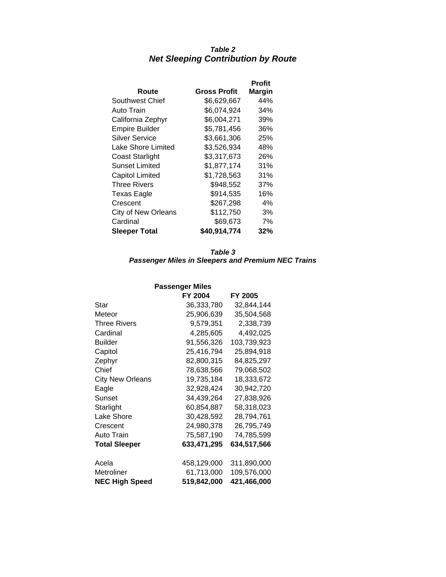# *Table 2 Net Sleeping Contribution by Route*

|                            |              | Profit        |
|----------------------------|--------------|---------------|
| Route                      | Gross Profit | <b>Margin</b> |
| Southwest Chief            | \$6,629,667  | 44%           |
| Auto Train                 | \$6,074,924  | 34%           |
| California Zephyr          | \$6,004,271  | 39%           |
| <b>Empire Builder</b>      | \$5,781,456  | 36%           |
| Silver Service             | \$3,661,306  | 25%           |
| Lake Shore Limited         | \$3,526,934  | 48%           |
| <b>Coast Starlight</b>     | \$3,317,673  | 26%           |
| Sunset Limited             | \$1,877,174  | 31%           |
| <b>Capitol Limited</b>     | \$1,728,563  | 31%           |
| Three Rivers               | \$948,552    | 37%           |
| <b>Texas Eagle</b>         | \$914,535    | 16%           |
| Crescent                   | \$267,298    | 4%            |
| <b>City of New Orleans</b> | \$112,750    | 3%            |
| Cardinal                   | \$69,673     | 7%            |
| <b>Sleeper Total</b>       | \$40,914,774 | 32%           |

### *Table 3 Passenger Miles in Sleepers and Premium NEC Trains*

| <b>Passenger Miles</b>  |             |             |  |  |
|-------------------------|-------------|-------------|--|--|
|                         | FY 2004     | FY 2005     |  |  |
| Star                    | 36,333,780  | 32,844,144  |  |  |
| Meteor                  | 25,906,639  | 35,504,568  |  |  |
| <b>Three Rivers</b>     | 9,579,351   | 2,338,739   |  |  |
| Cardinal                | 4,285,605   | 4,492,025   |  |  |
| <b>Builder</b>          | 91,556,326  | 103,739,923 |  |  |
| Capitol                 | 25,416,794  | 25,894,918  |  |  |
| Zephyr                  | 82,800,315  | 84,825,297  |  |  |
| Chief                   | 78,638,566  | 79,068,502  |  |  |
| <b>City New Orleans</b> | 19,735,184  | 18,333,672  |  |  |
| Eagle                   | 32,928,424  | 30,942,720  |  |  |
| Sunset                  | 34,439,264  | 27,838,926  |  |  |
| Starlight               | 60,854,887  | 58,318,023  |  |  |
| Lake Shore              | 30,428,592  | 28,794,761  |  |  |
| Crescent                | 24,980,378  | 26,795,749  |  |  |
| Auto Train              | 75,587,190  | 74,785,599  |  |  |
| <b>Total Sleeper</b>    | 633,471,295 | 634,517,566 |  |  |
| Acela                   | 458,129,000 | 311,890,000 |  |  |
| Metroliner              | 61,713,000  | 109,576,000 |  |  |
| <b>NEC High Speed</b>   | 519,842,000 | 421,466,000 |  |  |